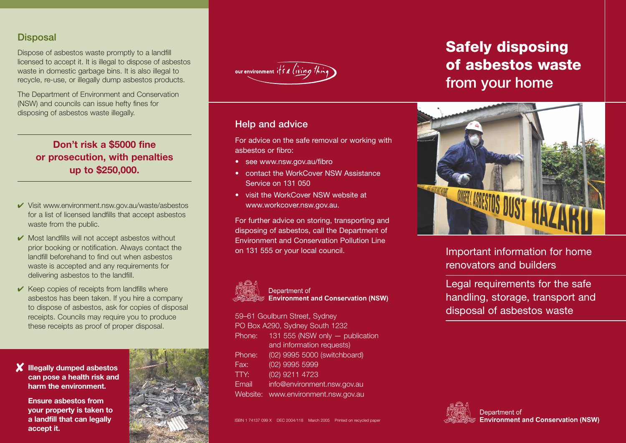#### **Disposal**

Dispose of asbestos waste promptly to a landfill licensed to accept it. It is illegal to dispose of asbestos waste in domestic garbage bins. It is also illegal to recycle, re-use, or illegally dump asbestos products.

The Department of Environment and Conservation (NSW) and councils can issue hefty fines for disposing of asbestos waste illegally.

## **Don't risk a \$5000 fine or prosecution, with penalties up to \$250,000.**

- ✔ Visit www.environment.nsw.gov.au/waste/asbestos for a list of licensed landfills that accept asbestos waste from the public.
- ✔ Most landfills will not accept asbestos without prior booking or notification. Always contact the landfill beforehand to find out when asbestos waste is accepted and any requirements for delivering asbestos to the landfill.
- $\vee$  Keep copies of receipts from landfills where asbestos has been taken. If you hire a company to dispose of asbestos, ask for copies of disposal receipts. Councils may require you to produce these receipts as proof of proper disposal.







#### Help and advice

For advice on the safe removal or working with asbestos or fibro:

- see www.nsw.gov.au/fibro
- contact the WorkCover NSW Assistance Service on 131 050
- visit the WorkCover NSW website at www.workcover.nsw.gov.au.

For further advice on storing, transporting and disposing of asbestos, call the Department of Environment and Conservation Pollution Line on 131 555 or your local council.



Department of **Environment and Conservation (NSW)** 

59–61 Goulburn Street, Sydney PO Box A290, Sydney South 1232 Phone: 131 555 (NSW only — publication and information requests) Phone: (02) 9995 5000 (switchboard) Fax: (02) 9995 5999 TTY: (02) 9211 4723 Email info@environment.nsw.gov.au Website: www.environment.nsw.gov.au

ISBN 1 74137 099 X DEC 2004/118 March 2005 Printed on recycled paper

# **Safely disposing of asbestos waste**  from your home



Important information for home renovators and builders

Legal requirements for the safe handling, storage, transport and disposal of asbestos waste